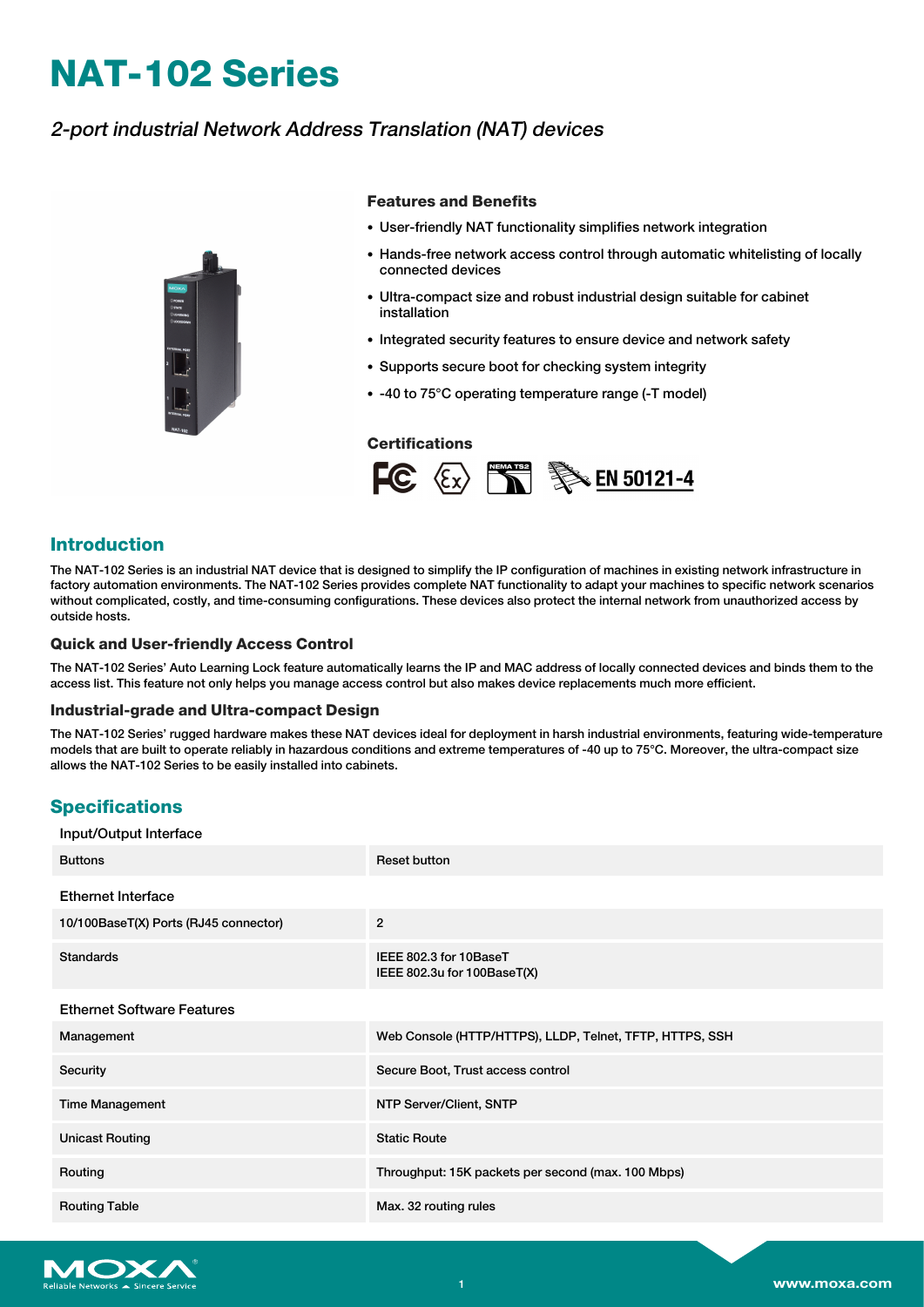# **NAT-102 Series**

# 2-port industrial Network Address Translation (NAT) devices



#### **Features and Benefits**

- User-friendly NAT functionality simplifies network integration
- Hands-free network access control through automatic whitelisting of locally connected devices
- Ultra-compact size and robust industrial design suitable for cabinet installation
- Integrated security features to ensure device and network safety
- Supports secure boot for checking system integrity
- -40 to 75°C operating temperature range (-T model)

#### **Certifications**



### **Introduction**

The NAT-102 Series is an industrial NAT device that is designed to simplify the IP configuration of machines in existing network infrastructure in factory automation environments. The NAT-102 Series provides complete NAT functionality to adapt your machines to specific network scenarios without complicated, costly, and time-consuming configurations. These devices also protect the internal network from unauthorized access by outside hosts.

#### **Quick and User-friendly Access Control**

The NAT-102 Series' Auto Learning Lock feature automatically learns the IP and MAC address of locally connected devices and binds them to the access list. This feature not only helps you manage access control but also makes device replacements much more efficient.

#### **Industrial-grade and Ultra-compact Design**

The NAT-102 Series' rugged hardware makes these NAT devices ideal for deployment in harsh industrial environments, featuring wide-temperature models that are built to operate reliably in hazardous conditions and extreme temperatures of -40 up to 75°C. Moreover, the ultra-compact size allows the NAT-102 Series to be easily installed into cabinets.

## **Specifications**

| Input/Output Interface                |                                                          |
|---------------------------------------|----------------------------------------------------------|
| <b>Buttons</b>                        | <b>Reset button</b>                                      |
| <b>Ethernet Interface</b>             |                                                          |
| 10/100BaseT(X) Ports (RJ45 connector) | $\overline{2}$                                           |
| <b>Standards</b>                      | IEEE 802.3 for 10BaseT<br>IEEE 802.3u for 100BaseT(X)    |
| <b>Ethernet Software Features</b>     |                                                          |
| Management                            | Web Console (HTTP/HTTPS), LLDP, Telnet, TFTP, HTTPS, SSH |
| Security                              | Secure Boot, Trust access control                        |
| <b>Time Management</b>                | NTP Server/Client, SNTP                                  |
| <b>Unicast Routing</b>                | <b>Static Route</b>                                      |
| Routing                               | Throughput: 15K packets per second (max. 100 Mbps)       |
| <b>Routing Table</b>                  | Max. 32 routing rules                                    |

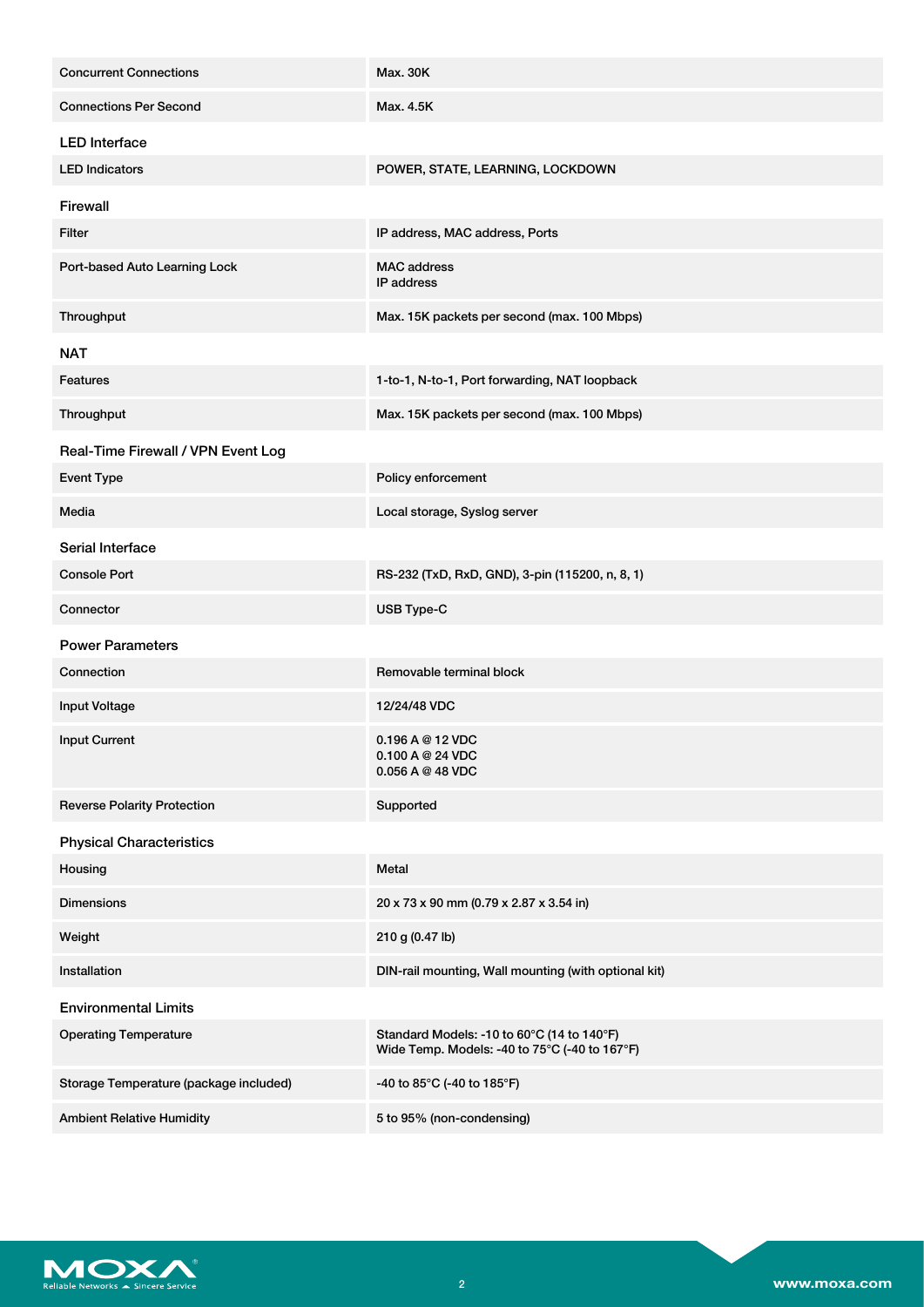| <b>Concurrent Connections</b>          | <b>Max. 30K</b>                                                                             |  |  |
|----------------------------------------|---------------------------------------------------------------------------------------------|--|--|
| <b>Connections Per Second</b>          | Max. 4.5K                                                                                   |  |  |
| <b>LED</b> Interface                   |                                                                                             |  |  |
| <b>LED Indicators</b>                  | POWER, STATE, LEARNING, LOCKDOWN                                                            |  |  |
| Firewall                               |                                                                                             |  |  |
| Filter                                 | IP address, MAC address, Ports                                                              |  |  |
| Port-based Auto Learning Lock          | <b>MAC</b> address<br><b>IP</b> address                                                     |  |  |
| Throughput                             | Max. 15K packets per second (max. 100 Mbps)                                                 |  |  |
| <b>NAT</b>                             |                                                                                             |  |  |
| Features                               | 1-to-1, N-to-1, Port forwarding, NAT loopback                                               |  |  |
| Throughput                             | Max. 15K packets per second (max. 100 Mbps)                                                 |  |  |
| Real-Time Firewall / VPN Event Log     |                                                                                             |  |  |
| <b>Event Type</b>                      | Policy enforcement                                                                          |  |  |
| Media                                  | Local storage, Syslog server                                                                |  |  |
| Serial Interface                       |                                                                                             |  |  |
| <b>Console Port</b>                    | RS-232 (TxD, RxD, GND), 3-pin (115200, n, 8, 1)                                             |  |  |
| Connector                              | USB Type-C                                                                                  |  |  |
| <b>Power Parameters</b>                |                                                                                             |  |  |
| Connection                             | Removable terminal block                                                                    |  |  |
| <b>Input Voltage</b>                   | 12/24/48 VDC                                                                                |  |  |
| <b>Input Current</b>                   | 0.196A@12VDC<br>0.100 A @ 24 VDC<br>$0.056$ A @ 48 VDC                                      |  |  |
| <b>Reverse Polarity Protection</b>     | Supported                                                                                   |  |  |
| <b>Physical Characteristics</b>        |                                                                                             |  |  |
| Housing                                | Metal                                                                                       |  |  |
| <b>Dimensions</b>                      | 20 x 73 x 90 mm (0.79 x 2.87 x 3.54 in)                                                     |  |  |
| Weight                                 | 210 g (0.47 lb)                                                                             |  |  |
| Installation                           | DIN-rail mounting, Wall mounting (with optional kit)                                        |  |  |
|                                        |                                                                                             |  |  |
| <b>Environmental Limits</b>            |                                                                                             |  |  |
| <b>Operating Temperature</b>           | Standard Models: -10 to 60°C (14 to 140°F)<br>Wide Temp. Models: -40 to 75°C (-40 to 167°F) |  |  |
| Storage Temperature (package included) | -40 to 85°C (-40 to 185°F)                                                                  |  |  |

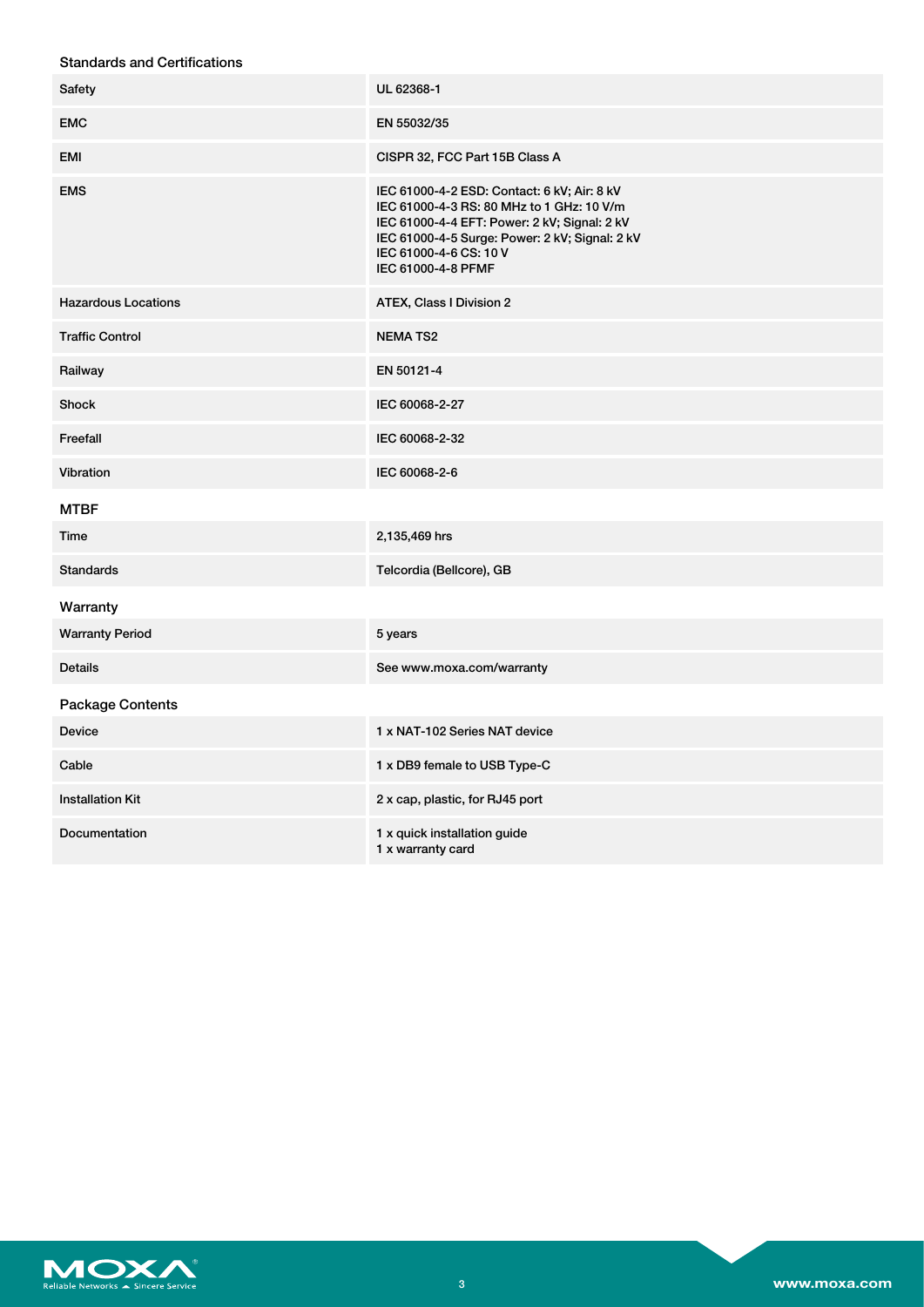## Standards and Certifications

| Safety                     | UL 62368-1                                                                                                                                                                                                                                 |  |  |
|----------------------------|--------------------------------------------------------------------------------------------------------------------------------------------------------------------------------------------------------------------------------------------|--|--|
| <b>EMC</b>                 | EN 55032/35                                                                                                                                                                                                                                |  |  |
| EMI                        | CISPR 32, FCC Part 15B Class A                                                                                                                                                                                                             |  |  |
| <b>EMS</b>                 | IEC 61000-4-2 ESD: Contact: 6 kV; Air: 8 kV<br>IEC 61000-4-3 RS: 80 MHz to 1 GHz: 10 V/m<br>IEC 61000-4-4 EFT: Power: 2 kV; Signal: 2 kV<br>IEC 61000-4-5 Surge: Power: 2 kV; Signal: 2 kV<br>IEC 61000-4-6 CS: 10 V<br>IEC 61000-4-8 PFMF |  |  |
| <b>Hazardous Locations</b> | ATEX, Class I Division 2                                                                                                                                                                                                                   |  |  |
| <b>Traffic Control</b>     | <b>NEMATS2</b>                                                                                                                                                                                                                             |  |  |
| Railway                    | EN 50121-4                                                                                                                                                                                                                                 |  |  |
| <b>Shock</b>               | IEC 60068-2-27                                                                                                                                                                                                                             |  |  |
| Freefall                   | IEC 60068-2-32                                                                                                                                                                                                                             |  |  |
| Vibration                  | IEC 60068-2-6                                                                                                                                                                                                                              |  |  |
| <b>MTBF</b>                |                                                                                                                                                                                                                                            |  |  |
| Time                       | 2,135,469 hrs                                                                                                                                                                                                                              |  |  |
| <b>Standards</b>           | Telcordia (Bellcore), GB                                                                                                                                                                                                                   |  |  |
| Warranty                   |                                                                                                                                                                                                                                            |  |  |
| <b>Warranty Period</b>     | 5 years                                                                                                                                                                                                                                    |  |  |
| <b>Details</b>             | See www.moxa.com/warranty                                                                                                                                                                                                                  |  |  |
| Package Contents           |                                                                                                                                                                                                                                            |  |  |
| <b>Device</b>              | 1 x NAT-102 Series NAT device                                                                                                                                                                                                              |  |  |
| Cable                      | 1 x DB9 female to USB Type-C                                                                                                                                                                                                               |  |  |
| <b>Installation Kit</b>    | 2 x cap, plastic, for RJ45 port                                                                                                                                                                                                            |  |  |
| Documentation              | 1 x quick installation guide<br>1 x warranty card                                                                                                                                                                                          |  |  |